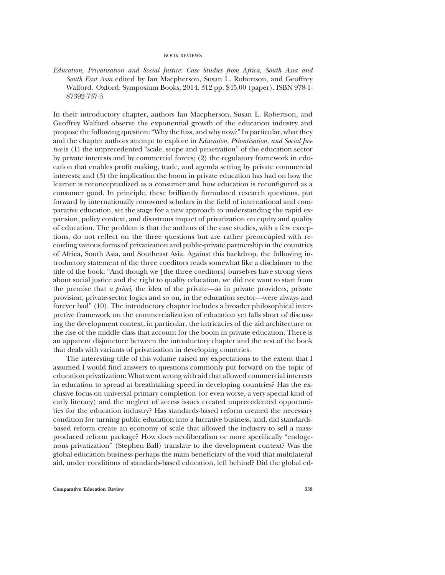## BOOK REVIEWS

Education, Privatisation and Social Justice: Case Studies from Africa, South Asia and South East Asia edited by Ian Macpherson, Susan L. Robertson, and Geoffrey Walford. Oxford: Symposium Books, 2014. 312 pp. \$45.00 (paper). ISBN 978-1- 87392-737-3.

In their introductory chapter, authors Ian Macpherson, Susan L. Robertson, and Geoffrey Walford observe the exponential growth of the education industry and propose the following question:"Why the fuss, and why now?"In particular, what they and the chapter authors attempt to explore in *Education*, *Privatisation*, and *Social Jus*tice is (1) the unprecedented "scale, scope and penetration" of the education sector by private interests and by commercial forces; (2) the regulatory framework in education that enables profit making, trade, and agenda setting by private commercial interests; and (3) the implication the boom in private education has had on how the learner is reconceptualized as a consumer and how education is reconfigured as a consumer good. In principle, these brilliantly formulated research questions, put forward by internationally renowned scholars in the field of international and comparative education, set the stage for a new approach to understanding the rapid expansion, policy context, and disastrous impact of privatization on equity and quality of education. The problem is that the authors of the case studies, with a few exceptions, do not reflect on the three questions but are rather preoccupied with recording various forms of privatization and public-private partnership in the countries of Africa, South Asia, and Southeast Asia. Against this backdrop, the following introductory statement of the three coeditors reads somewhat like a disclaimer to the title of the book: "And though we [the three coeditors] ourselves have strong views about social justice and the right to quality education, we did not want to start from the premise that a priori, the idea of the private—as in private providers, private provision, private-sector logics and so on, in the education sector—were always and forever bad" (10). The introductory chapter includes a broader philosophical interpretive framework on the commercialization of education yet falls short of discussing the development context, in particular, the intricacies of the aid architecture or the rise of the middle class that account for the boom in private education. There is an apparent disjuncture between the introductory chapter and the rest of the book that deals with variants of privatization in developing countries.

The interesting title of this volume raised my expectations to the extent that I assumed I would find answers to questions commonly put forward on the topic of education privatization: What went wrong with aid that allowed commercial interests in education to spread at breathtaking speed in developing countries? Has the exclusive focus on universal primary completion (or even worse, a very special kind of early literacy) and the neglect of access issues created unprecedented opportunities for the education industry? Has standards-based reform created the necessary condition for turning public education into a lucrative business, and, did standardsbased reform create an economy of scale that allowed the industry to sell a massproduced reform package? How does neoliberalism or more specifically "endogenous privatization" (Stephen Ball) translate to the development context? Was the global education business perhaps the main beneficiary of the void that multilateral aid, under conditions of standards-based education, left behind? Did the global ed-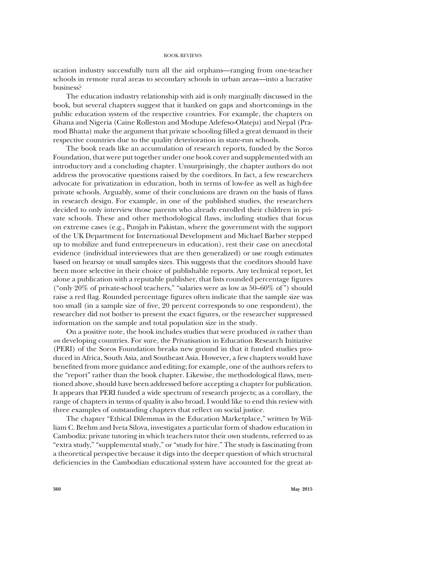## BOOK REVIEWS

ucation industry successfully turn all the aid orphans—ranging from one-teacher schools in remote rural areas to secondary schools in urban areas—into a lucrative business?

The education industry relationship with aid is only marginally discussed in the book, but several chapters suggest that it banked on gaps and shortcomings in the public education system of the respective countries. For example, the chapters on Ghana and Nigeria (Caine Rolleston and Modupe Adefeso-Olateju) and Nepal (Pramod Bhatta) make the argument that private schooling filled a great demand in their respective countries due to the quality deterioration in state-run schools.

The book reads like an accumulation of research reports, funded by the Soros Foundation, that were put together under one book cover and supplemented with an introductory and a concluding chapter. Unsurprisingly, the chapter authors do not address the provocative questions raised by the coeditors. In fact, a few researchers advocate for privatization in education, both in terms of low-fee as well as high-fee private schools. Arguably, some of their conclusions are drawn on the basis of flaws in research design. For example, in one of the published studies, the researchers decided to only interview those parents who already enrolled their children in private schools. These and other methodological flaws, including studies that focus on extreme cases (e.g., Punjab in Pakistan, where the government with the support of the UK Department for International Development and Michael Barber stepped up to mobilize and fund entrepreneurs in education), rest their case on anecdotal evidence (individual interviewees that are then generalized) or use rough estimates based on hearsay or small samples sizes. This suggests that the coeditors should have been more selective in their choice of publishable reports. Any technical report, let alone a publication with a reputable publisher, that lists rounded percentage figures ("only  $20\%$  of private-school teachers," "salaries were as low as  $50-60\%$  of") should raise a red flag. Rounded percentage figures often indicate that the sample size was too small (in a sample size of five, 20 percent corresponds to one respondent), the researcher did not bother to present the exact figures, or the researcher suppressed information on the sample and total population size in the study.

On a positive note, the book includes studies that were produced in rather than on developing countries. For sure, the Privatisation in Education Research Initiative (PERI) of the Soros Foundation breaks new ground in that it funded studies produced in Africa, South Asia, and Southeast Asia. However, a few chapters would have benefited from more guidance and editing; for example, one of the authors refers to the "report" rather than the book chapter. Likewise, the methodological flaws, mentioned above, should have been addressed before accepting a chapter for publication. It appears that PERI funded a wide spectrum of research projects; as a corollary, the range of chapters in terms of quality is also broad. I would like to end this review with three examples of outstanding chapters that reflect on social justice.

The chapter "Ethical Dilemmas in the Education Marketplace," written by William C. Brehm and Iveta Silova, investigates a particular form of shadow education in Cambodia: private tutoring in which teachers tutor their own students, referred to as "extra study," "supplemental study," or "study for hire." The study is fascinating from a theoretical perspective because it digs into the deeper question of which structural deficiencies in the Cambodian educational system have accounted for the great at-